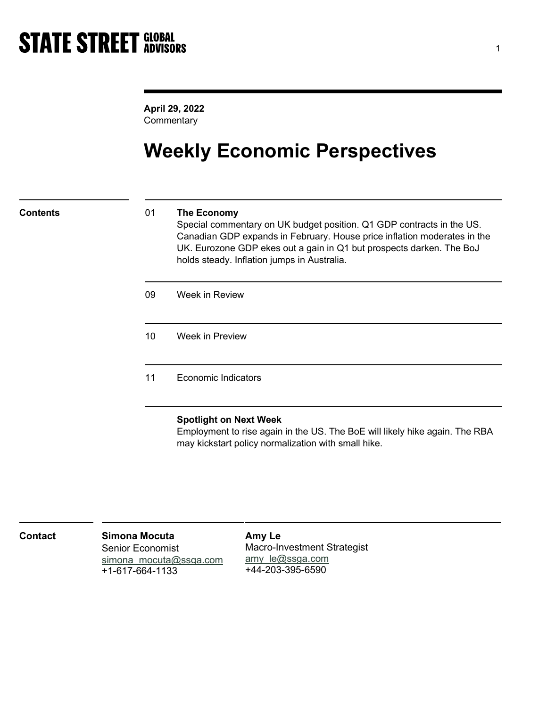April 29, 2022 **Commentary** 

## Weekly Economic Perspectives

### Contents 01 The Economy

Special commentary on UK budget position. Q1 GDP contracts in the US. Canadian GDP expands in February. House price inflation moderates in the UK. Eurozone GDP ekes out a gain in Q1 but prospects darken. The BoJ holds steady. Inflation jumps in Australia.

09 Week in Review

10 Week in Preview

11 Economic Indicators

### Spotlight on Next Week

Employment to rise again in the US. The BoE will likely hike again. The RBA may kickstart policy normalization with small hike.

| <b>Contact</b> | <b>Simona Mocuta</b><br><b>Senior Economist</b><br>simona mocuta@ssga.com<br>+1-617-664-1133 | Amy Le<br><b>Macro-Investment Strategist</b><br>amy le@ssga.com<br>+44-203-395-6590 |
|----------------|----------------------------------------------------------------------------------------------|-------------------------------------------------------------------------------------|
|                |                                                                                              |                                                                                     |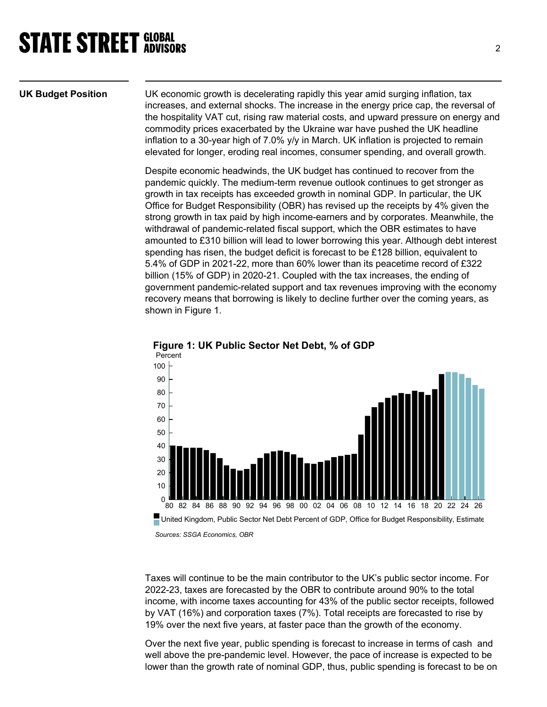UK Budget Position UK economic growth is decelerating rapidly this year amid surging inflation, tax increases, and external shocks. The increase in the energy price cap, the reversal of the hospitality VAT cut, rising raw material costs, and upward pressure on energy and commodity prices exacerbated by the Ukraine war have pushed the UK headline inflation to a 30-year high of 7.0% y/y in March. UK inflation is projected to remain elevated for longer, eroding real incomes, consumer spending, and overall growth.

> Despite economic headwinds, the UK budget has continued to recover from the pandemic quickly. The medium-term revenue outlook continues to get stronger as growth in tax receipts has exceeded growth in nominal GDP. In particular, the UK Office for Budget Responsibility (OBR) has revised up the receipts by 4% given the strong growth in tax paid by high income-earners and by corporates. Meanwhile, the withdrawal of pandemic-related fiscal support, which the OBR estimates to have amounted to £310 billion will lead to lower borrowing this year. Although debt interest spending has risen, the budget deficit is forecast to be £128 billion, equivalent to 5.4% of GDP in 2021-22, more than 60% lower than its peacetime record of £322 billion (15% of GDP) in 2020-21. Coupled with the tax increases, the ending of government pandemic-related support and tax revenues improving with the economy recovery means that borrowing is likely to decline further over the coming years, as shown in Figure 1.



Figure 1: UK Public Sector Net Debt, % of GDP

Sources: SSGA Economics, OBR

Taxes will continue to be the main contributor to the UK's public sector income. For 2022-23, taxes are forecasted by the OBR to contribute around 90% to the total income, with income taxes accounting for 43% of the public sector receipts, followed by VAT (16%) and corporation taxes (7%). Total receipts are forecasted to rise by 19% over the next five years, at faster pace than the growth of the economy.

Over the next five year, public spending is forecast to increase in terms of cash and well above the pre-pandemic level. However, the pace of increase is expected to be lower than the growth rate of nominal GDP, thus, public spending is forecast to be on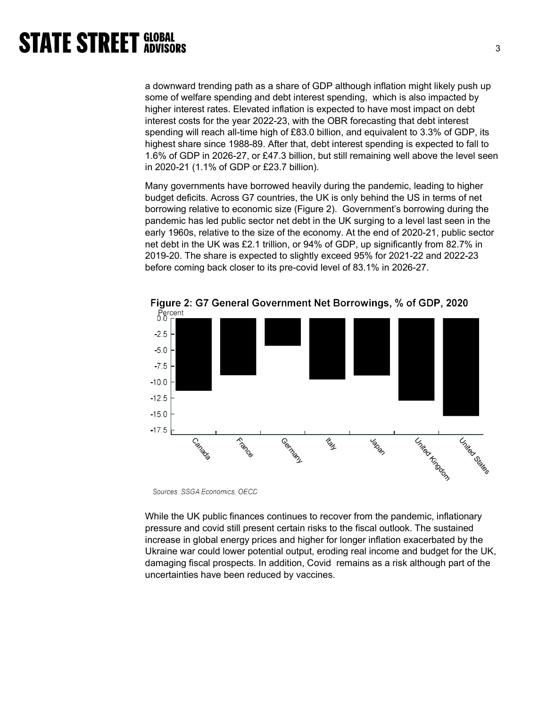a downward trending path as a share of GDP although inflation might likely push up some of welfare spending and debt interest spending, which is also impacted by higher interest rates. Elevated inflation is expected to have most impact on debt interest costs for the year 2022-23, with the OBR forecasting that debt interest spending will reach all-time high of £83.0 billion, and equivalent to 3.3% of GDP, its highest share since 1988-89. After that, debt interest spending is expected to fall to 1.6% of GDP in 2026-27, or £47.3 billion, but still remaining well above the level seen in 2020-21 (1.1% of GDP or £23.7 billion).

Many governments have borrowed heavily during the pandemic, leading to higher budget deficits. Across G7 countries, the UK is only behind the US in terms of net borrowing relative to economic size (Figure 2). Government's borrowing during the pandemic has led public sector net debt in the UK surging to a level last seen in the early 1960s, relative to the size of the economy. At the end of 2020-21, public sector net debt in the UK was £2.1 trillion, or 94% of GDP, up significantly from 82.7% in 2019-20. The share is expected to slightly exceed 95% for 2021-22 and 2022-23 before coming back closer to its pre-covid level of 83.1% in 2026-27.



Figure 2: G7 General Government Net Borrowings, % of GDP, 2020

Sources: SSGA Economics, OECD

While the UK public finances continues to recover from the pandemic, inflationary pressure and covid still present certain risks to the fiscal outlook. The sustained increase in global energy prices and higher for longer inflation exacerbated by the Ukraine war could lower potential output, eroding real income and budget for the UK, damaging fiscal prospects. In addition, Covid remains as a risk although part of the uncertainties have been reduced by vaccines.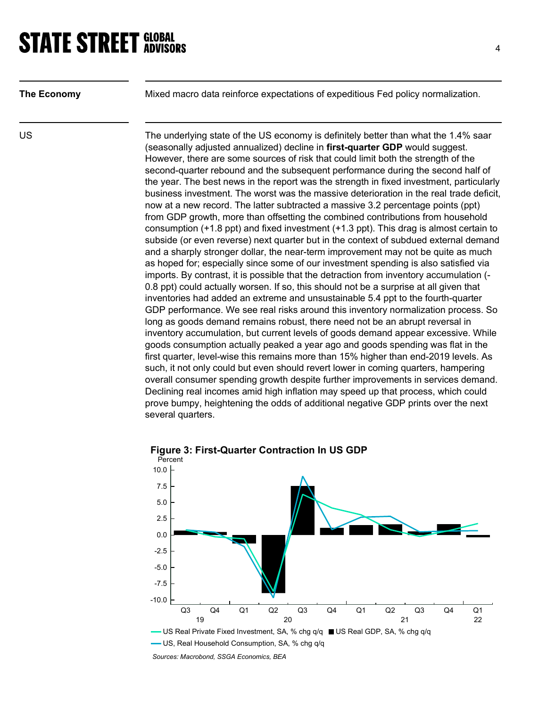The Economy Mixed macro data reinforce expectations of expeditious Fed policy normalization.

US US The underlying state of the US economy is definitely better than what the 1.4% saar (seasonally adjusted annualized) decline in first-quarter GDP would suggest. However, there are some sources of risk that could limit both the strength of the second-quarter rebound and the subsequent performance during the second half of the year. The best news in the report was the strength in fixed investment, particularly business investment. The worst was the massive deterioration in the real trade deficit, now at a new record. The latter subtracted a massive 3.2 percentage points (ppt) from GDP growth, more than offsetting the combined contributions from household consumption (+1.8 ppt) and fixed investment (+1.3 ppt). This drag is almost certain to subside (or even reverse) next quarter but in the context of subdued external demand and a sharply stronger dollar, the near-term improvement may not be quite as much as hoped for; especially since some of our investment spending is also satisfied via imports. By contrast, it is possible that the detraction from inventory accumulation (- 0.8 ppt) could actually worsen. If so, this should not be a surprise at all given that inventories had added an extreme and unsustainable 5.4 ppt to the fourth-quarter GDP performance. We see real risks around this inventory normalization process. So long as goods demand remains robust, there need not be an abrupt reversal in inventory accumulation, but current levels of goods demand appear excessive. While goods consumption actually peaked a year ago and goods spending was flat in the first quarter, level-wise this remains more than 15% higher than end-2019 levels. As such, it not only could but even should revert lower in coming quarters, hampering overall consumer spending growth despite further improvements in services demand. Declining real incomes amid high inflation may speed up that process, which could prove bumpy, heightening the odds of additional negative GDP prints over the next several quarters.



Figure 3: First-Quarter Contraction In US GDP

Sources: Macrobond, SSGA Economics, BEA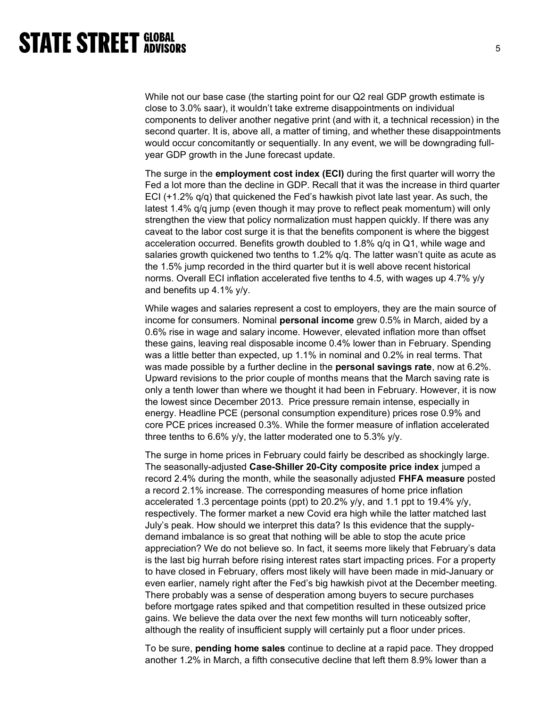While not our base case (the starting point for our Q2 real GDP growth estimate is close to 3.0% saar), it wouldn't take extreme disappointments on individual components to deliver another negative print (and with it, a technical recession) in the second quarter. It is, above all, a matter of timing, and whether these disappointments would occur concomitantly or sequentially. In any event, we will be downgrading fullyear GDP growth in the June forecast update.

The surge in the employment cost index (ECI) during the first quarter will worry the Fed a lot more than the decline in GDP. Recall that it was the increase in third quarter ECI (+1.2% q/q) that quickened the Fed's hawkish pivot late last year. As such, the latest 1.4% q/q jump (even though it may prove to reflect peak momentum) will only strengthen the view that policy normalization must happen quickly. If there was any caveat to the labor cost surge it is that the benefits component is where the biggest acceleration occurred. Benefits growth doubled to 1.8% q/q in Q1, while wage and salaries growth quickened two tenths to 1.2% q/q. The latter wasn't quite as acute as the 1.5% jump recorded in the third quarter but it is well above recent historical norms. Overall ECI inflation accelerated five tenths to 4.5, with wages up 4.7% y/y and benefits up 4.1% y/y.

While wages and salaries represent a cost to employers, they are the main source of income for consumers. Nominal personal income grew 0.5% in March, aided by a 0.6% rise in wage and salary income. However, elevated inflation more than offset these gains, leaving real disposable income 0.4% lower than in February. Spending was a little better than expected, up 1.1% in nominal and 0.2% in real terms. That was made possible by a further decline in the **personal savings rate**, now at 6.2%. Upward revisions to the prior couple of months means that the March saving rate is only a tenth lower than where we thought it had been in February. However, it is now the lowest since December 2013. Price pressure remain intense, especially in energy. Headline PCE (personal consumption expenditure) prices rose 0.9% and core PCE prices increased 0.3%. While the former measure of inflation accelerated three tenths to 6.6% y/y, the latter moderated one to 5.3% y/y.

The surge in home prices in February could fairly be described as shockingly large. The seasonally-adjusted Case-Shiller 20-City composite price index jumped a record 2.4% during the month, while the seasonally adjusted FHFA measure posted a record 2.1% increase. The corresponding measures of home price inflation accelerated 1.3 percentage points (ppt) to 20.2% y/y, and 1.1 ppt to 19.4% y/y, respectively. The former market a new Covid era high while the latter matched last July's peak. How should we interpret this data? Is this evidence that the supplydemand imbalance is so great that nothing will be able to stop the acute price appreciation? We do not believe so. In fact, it seems more likely that February's data is the last big hurrah before rising interest rates start impacting prices. For a property to have closed in February, offers most likely will have been made in mid-January or even earlier, namely right after the Fed's big hawkish pivot at the December meeting. There probably was a sense of desperation among buyers to secure purchases before mortgage rates spiked and that competition resulted in these outsized price gains. We believe the data over the next few months will turn noticeably softer, although the reality of insufficient supply will certainly put a floor under prices.

To be sure, pending home sales continue to decline at a rapid pace. They dropped another 1.2% in March, a fifth consecutive decline that left them 8.9% lower than a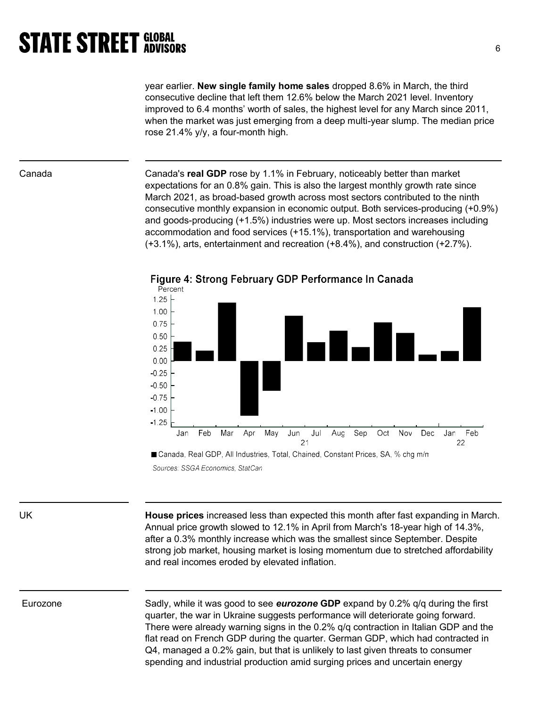year earlier. New single family home sales dropped 8.6% in March, the third consecutive decline that left them 12.6% below the March 2021 level. Inventory improved to 6.4 months' worth of sales, the highest level for any March since 2011, when the market was just emerging from a deep multi-year slump. The median price rose 21.4% y/y, a four-month high.

Canada **Canada's real GDP** rose by 1.1% in February, noticeably better than market expectations for an 0.8% gain. This is also the largest monthly growth rate since March 2021, as broad-based growth across most sectors contributed to the ninth consecutive monthly expansion in economic output. Both services-producing (+0.9%) and goods-producing (+1.5%) industries were up. Most sectors increases including accommodation and food services (+15.1%), transportation and warehousing (+3.1%), arts, entertainment and recreation (+8.4%), and construction (+2.7%).



Figure 4: Strong February GDP Performance In Canada

Sources: SSGA Economics, StatCan

UK **House prices** increased less than expected this month after fast expanding in March. Annual price growth slowed to 12.1% in April from March's 18-year high of 14.3%, after a 0.3% monthly increase which was the smallest since September. Despite strong job market, housing market is losing momentum due to stretched affordability and real incomes eroded by elevated inflation.

Eurozone Sadly, while it was good to see **eurozone GDP** expand by 0.2% q/q during the first quarter, the war in Ukraine suggests performance will deteriorate going forward. There were already warning signs in the 0.2% q/q contraction in Italian GDP and the flat read on French GDP during the quarter. German GDP, which had contracted in Q4, managed a 0.2% gain, but that is unlikely to last given threats to consumer spending and industrial production amid surging prices and uncertain energy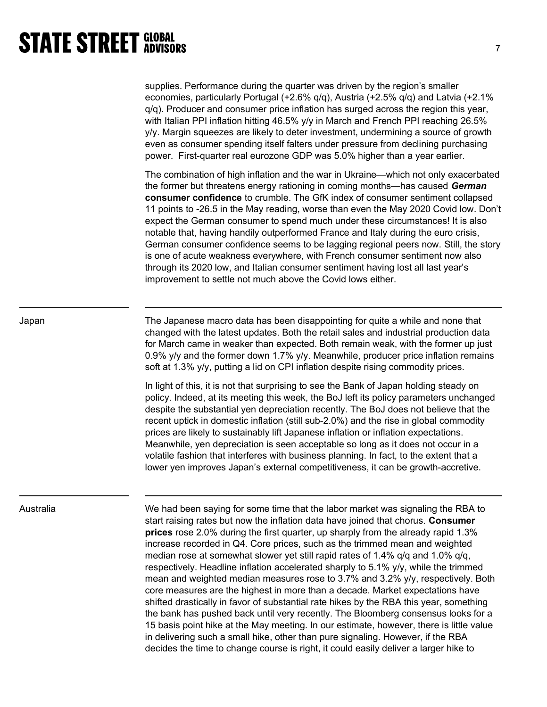| supplies. Performance during the quarter was driven by the region's smaller               |
|-------------------------------------------------------------------------------------------|
| economies, particularly Portugal (+2.6% $q/q$ ), Austria (+2.5% $q/q$ ) and Latvia (+2.1% |
| $q/q$ ). Producer and consumer price inflation has surged across the region this year,    |
| with Italian PPI inflation hitting 46.5% y/y in March and French PPI reaching 26.5%       |
| y/y. Margin squeezes are likely to deter investment, undermining a source of growth       |
| even as consumer spending itself falters under pressure from declining purchasing         |
| power. First-quarter real eurozone GDP was 5.0% higher than a year earlier.               |

The combination of high inflation and the war in Ukraine—which not only exacerbated the former but threatens energy rationing in coming months—has caused German consumer confidence to crumble. The GfK index of consumer sentiment collapsed 11 points to -26.5 in the May reading, worse than even the May 2020 Covid low. Don't expect the German consumer to spend much under these circumstances! It is also notable that, having handily outperformed France and Italy during the euro crisis, German consumer confidence seems to be lagging regional peers now. Still, the story is one of acute weakness everywhere, with French consumer sentiment now also through its 2020 low, and Italian consumer sentiment having lost all last year's improvement to settle not much above the Covid lows either.

Japan The Japanese macro data has been disappointing for quite a while and none that changed with the latest updates. Both the retail sales and industrial production data for March came in weaker than expected. Both remain weak, with the former up just 0.9% y/y and the former down 1.7% y/y. Meanwhile, producer price inflation remains soft at 1.3% y/y, putting a lid on CPI inflation despite rising commodity prices.

> In light of this, it is not that surprising to see the Bank of Japan holding steady on policy. Indeed, at its meeting this week, the BoJ left its policy parameters unchanged despite the substantial yen depreciation recently. The BoJ does not believe that the recent uptick in domestic inflation (still sub-2.0%) and the rise in global commodity prices are likely to sustainably lift Japanese inflation or inflation expectations. Meanwhile, yen depreciation is seen acceptable so long as it does not occur in a volatile fashion that interferes with business planning. In fact, to the extent that a lower yen improves Japan's external competitiveness, it can be growth-accretive.

Australia We had been saying for some time that the labor market was signaling the RBA to start raising rates but now the inflation data have joined that chorus. Consumer prices rose 2.0% during the first quarter, up sharply from the already rapid 1.3% increase recorded in Q4. Core prices, such as the trimmed mean and weighted median rose at somewhat slower yet still rapid rates of 1.4% q/q and 1.0% q/q, respectively. Headline inflation accelerated sharply to 5.1% y/y, while the trimmed mean and weighted median measures rose to 3.7% and 3.2% y/y, respectively. Both core measures are the highest in more than a decade. Market expectations have shifted drastically in favor of substantial rate hikes by the RBA this year, something the bank has pushed back until very recently. The Bloomberg consensus looks for a 15 basis point hike at the May meeting. In our estimate, however, there is little value in delivering such a small hike, other than pure signaling. However, if the RBA decides the time to change course is right, it could easily deliver a larger hike to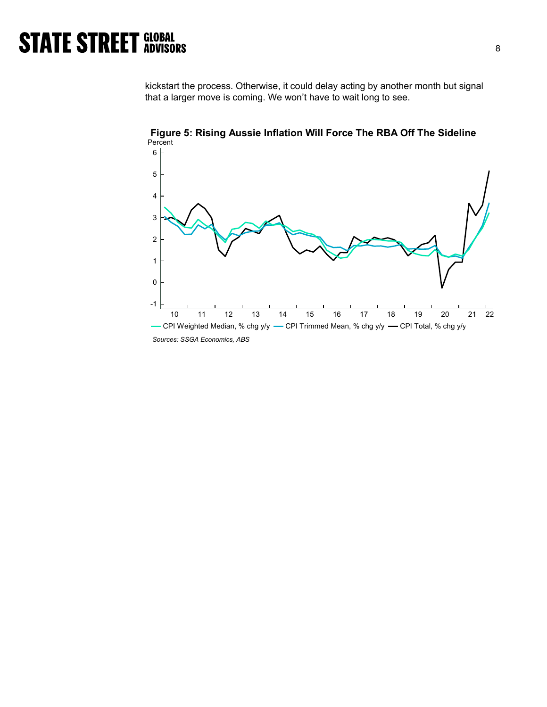kickstart the process. Otherwise, it could delay acting by another month but signal that a larger move is coming. We won't have to wait long to see.



Figure 5: Rising Aussie Inflation Will Force The RBA Off The Sideline Percent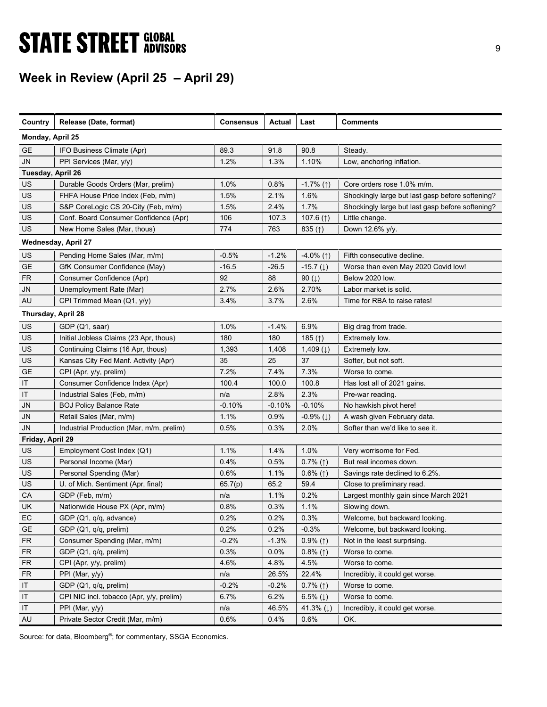# **STATE STREET GLOBAL STATE STREET GLOBAL**

## Week in Review (April 25 – April 29)

| Country            | Release (Date, format)                   | <b>Consensus</b> | Actual   | Last                     | <b>Comments</b>                                  |
|--------------------|------------------------------------------|------------------|----------|--------------------------|--------------------------------------------------|
| Monday, April 25   |                                          |                  |          |                          |                                                  |
| <b>GE</b>          | IFO Business Climate (Apr)               | 89.3             | 91.8     | 90.8                     | Steady.                                          |
| JN                 | PPI Services (Mar, y/y)                  | 1.2%             | 1.3%     | 1.10%                    | Low, anchoring inflation.                        |
| Tuesday, April 26  |                                          |                  |          |                          |                                                  |
| US                 | Durable Goods Orders (Mar, prelim)       | 1.0%             | 0.8%     | $-1.7\%$ (1)             | Core orders rose 1.0% m/m.                       |
| US                 | FHFA House Price Index (Feb, m/m)        | 1.5%             | 2.1%     | 1.6%                     | Shockingly large but last gasp before softening? |
| US                 | S&P CoreLogic CS 20-City (Feb, m/m)      | 1.5%             | 2.4%     | 1.7%                     | Shockingly large but last gasp before softening? |
| US                 | Conf. Board Consumer Confidence (Apr)    | 106              | 107.3    | 107.6 (1)                | Little change.                                   |
| US                 | New Home Sales (Mar, thous)              | 774              | 763      | 835 $($ 1)               | Down 12.6% y/y.                                  |
|                    | Wednesday, April 27                      |                  |          |                          |                                                  |
| US                 | Pending Home Sales (Mar, m/m)            | $-0.5%$          | $-1.2%$  | $-4.0\%$ (1)             | Fifth consecutive decline.                       |
| <b>GE</b>          | GfK Consumer Confidence (May)            | $-16.5$          | $-26.5$  | $-15.7(\downarrow)$      | Worse than even May 2020 Covid low!              |
| <b>FR</b>          | Consumer Confidence (Apr)                | 92               | 88       | 90 $(1)$                 | Below 2020 low.                                  |
| <b>JN</b>          | Unemployment Rate (Mar)                  | 2.7%             | 2.6%     | 2.70%                    | Labor market is solid.                           |
| AU                 | CPI Trimmed Mean (Q1, y/y)               | 3.4%             | 3.7%     | 2.6%                     | Time for RBA to raise rates!                     |
| Thursday, April 28 |                                          |                  |          |                          |                                                  |
| US                 | GDP (Q1, saar)                           | 1.0%             | $-1.4%$  | 6.9%                     | Big drag from trade.                             |
| US                 | Initial Jobless Claims (23 Apr, thous)   | 180              | 180      | 185 $(f)$                | Extremely low.                                   |
| US                 | Continuing Claims (16 Apr, thous)        | 1,393            | 1,408    | 1,409 $(1)$              | Extremely low.                                   |
| US                 | Kansas City Fed Manf. Activity (Apr)     | 35               | 25       | 37                       | Softer, but not soft.                            |
| <b>GE</b>          | CPI (Apr, y/y, prelim)                   | 7.2%             | 7.4%     | 7.3%                     | Worse to come.                                   |
| IT                 | Consumer Confidence Index (Apr)          | 100.4            | 100.0    | 100.8                    | Has lost all of 2021 gains.                      |
| IT                 | Industrial Sales (Feb, m/m)              | n/a              | 2.8%     | 2.3%                     | Pre-war reading.                                 |
| <b>JN</b>          | <b>BOJ Policy Balance Rate</b>           | $-0.10%$         | $-0.10%$ | $-0.10%$                 | No hawkish pivot here!                           |
| <b>JN</b>          | Retail Sales (Mar, m/m)                  | 1.1%             | 0.9%     | $-0.9%$ ( $\downarrow$ ) | A wash given February data.                      |
| JN                 | Industrial Production (Mar, m/m, prelim) | 0.5%             | 0.3%     | 2.0%                     | Softer than we'd like to see it.                 |
| Friday, April 29   |                                          |                  |          |                          |                                                  |
| US                 | Employment Cost Index (Q1)               | 1.1%             | 1.4%     | 1.0%                     | Very worrisome for Fed.                          |
| US                 | Personal Income (Mar)                    | 0.4%             | 0.5%     | $0.7\%$ (1)              | But real incomes down.                           |
| US                 | Personal Spending (Mar)                  | 0.6%             | 1.1%     | $0.6\%$ (1)              | Savings rate declined to 6.2%.                   |
| US                 | U. of Mich. Sentiment (Apr, final)       | 65.7(p)          | 65.2     | 59.4                     | Close to preliminary read.                       |
| CA                 | GDP (Feb, m/m)                           | n/a              | 1.1%     | 0.2%                     | Largest monthly gain since March 2021            |
| UK                 | Nationwide House PX (Apr, m/m)           | 0.8%             | 0.3%     | 1.1%                     | Slowing down.                                    |
| EC                 | GDP (Q1, q/q, advance)                   | 0.2%             | 0.2%     | 0.3%                     | Welcome, but backward looking.                   |
| <b>GE</b>          | GDP (Q1, q/q, prelim)                    | 0.2%             | 0.2%     | $-0.3%$                  | Welcome, but backward looking.                   |
| <b>FR</b>          | Consumer Spending (Mar, m/m)             | $-0.2%$          | $-1.3%$  | $0.9\%$ (1)              | Not in the least surprising.                     |
| <b>FR</b>          | GDP (Q1, q/q, prelim)                    | 0.3%             | 0.0%     | $0.8\%$ (1)              | Worse to come.                                   |
| <b>FR</b>          | CPI (Apr, y/y, prelim)                   | 4.6%             | 4.8%     | 4.5%                     | Worse to come.                                   |
| <b>FR</b>          | PPI (Mar, y/y)                           | n/a              | 26.5%    | 22.4%                    | Incredibly, it could get worse.                  |
| IT                 | GDP (Q1, q/q, prelim)                    | $-0.2%$          | $-0.2%$  | $0.7\%$ (1)              | Worse to come.                                   |
| IT                 | CPI NIC incl. tobacco (Apr, y/y, prelim) | 6.7%             | 6.2%     | 6.5% $(1)$               | Worse to come.                                   |
| IT                 | PPI (Mar, y/y)                           | n/a              | 46.5%    | 41.3% $(1)$              | Incredibly, it could get worse.                  |
| AU                 | Private Sector Credit (Mar, m/m)         | 0.6%             | 0.4%     | 0.6%                     | OK.                                              |

Source: for data, Bloomberg<sup>®</sup>; for commentary, SSGA Economics.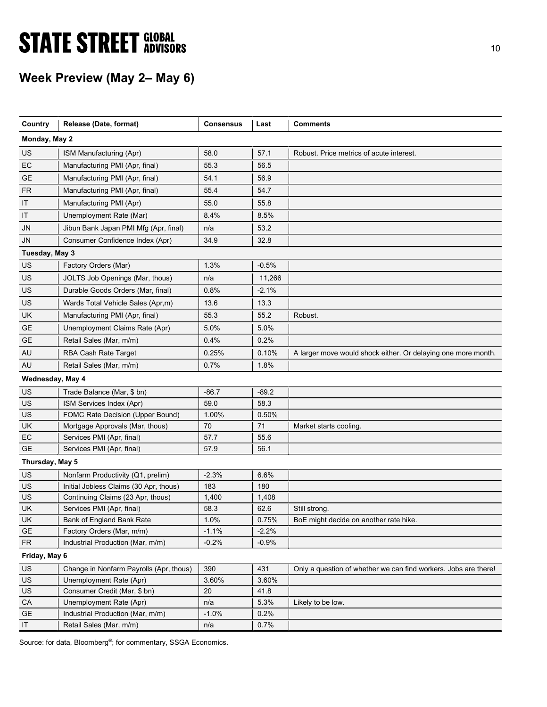# **STATE STREET GLOBAL STATE STREET GLOBAL**

## Week Preview (May 2– May 6)

| Country          | Release (Date, format)                  | <b>Consensus</b> | Last    | <b>Comments</b>                                                 |
|------------------|-----------------------------------------|------------------|---------|-----------------------------------------------------------------|
| Monday, May 2    |                                         |                  |         |                                                                 |
| US               | ISM Manufacturing (Apr)                 | 58.0             | 57.1    | Robust. Price metrics of acute interest.                        |
| EC               | Manufacturing PMI (Apr, final)          | 55.3             | 56.5    |                                                                 |
| <b>GE</b>        | Manufacturing PMI (Apr, final)          | 54.1             | 56.9    |                                                                 |
| <b>FR</b>        | Manufacturing PMI (Apr, final)          | 55.4             | 54.7    |                                                                 |
| IT               | Manufacturing PMI (Apr)                 | 55.0             | 55.8    |                                                                 |
| IT               | Unemployment Rate (Mar)                 | 8.4%             | 8.5%    |                                                                 |
| JN               | Jibun Bank Japan PMI Mfg (Apr, final)   | n/a              | 53.2    |                                                                 |
| JN               | Consumer Confidence Index (Apr)         | 34.9             | 32.8    |                                                                 |
| Tuesday, May 3   |                                         |                  |         |                                                                 |
| US               | Factory Orders (Mar)                    | 1.3%             | $-0.5%$ |                                                                 |
| US               | JOLTS Job Openings (Mar, thous)         | n/a              | 11,266  |                                                                 |
| US               | Durable Goods Orders (Mar, final)       | 0.8%             | $-2.1%$ |                                                                 |
| US               | Wards Total Vehicle Sales (Apr,m)       | 13.6             | 13.3    |                                                                 |
| UK               | Manufacturing PMI (Apr, final)          | 55.3             | 55.2    | Robust.                                                         |
| <b>GE</b>        | Unemployment Claims Rate (Apr)          | 5.0%             | 5.0%    |                                                                 |
| <b>GE</b>        | Retail Sales (Mar, m/m)                 | 0.4%             | 0.2%    |                                                                 |
| AU               | RBA Cash Rate Target                    | 0.25%            | 0.10%   | A larger move would shock either. Or delaying one more month.   |
| AU               | Retail Sales (Mar, m/m)                 | 0.7%             | 1.8%    |                                                                 |
| Wednesday, May 4 |                                         |                  |         |                                                                 |
| US               | Trade Balance (Mar, \$ bn)              | $-86.7$          | $-89.2$ |                                                                 |
| US               | ISM Services Index (Apr)                | 59.0             | 58.3    |                                                                 |
| US               | FOMC Rate Decision (Upper Bound)        | 1.00%            | 0.50%   |                                                                 |
| UK               | Mortgage Approvals (Mar, thous)         | 70               | 71      | Market starts cooling.                                          |
| EC               | Services PMI (Apr, final)               | 57.7             | 55.6    |                                                                 |
| GE               | Services PMI (Apr, final)               | 57.9             | 56.1    |                                                                 |
| Thursday, May 5  |                                         |                  |         |                                                                 |
| US               | Nonfarm Productivity (Q1, prelim)       | $-2.3%$          | 6.6%    |                                                                 |
| US               | Initial Jobless Claims (30 Apr, thous)  | 183              | 180     |                                                                 |
| US               | Continuing Claims (23 Apr, thous)       | 1,400            | 1,408   |                                                                 |
| UK               | Services PMI (Apr, final)               | 58.3             | 62.6    | Still strong.                                                   |
| UK               | Bank of England Bank Rate               | 1.0%             | 0.75%   | BoE might decide on another rate hike.                          |
| <b>GE</b>        | Factory Orders (Mar, m/m)               | $-1.1%$          | $-2.2%$ |                                                                 |
| <b>FR</b>        | Industrial Production (Mar, m/m)        | $-0.2%$          | $-0.9%$ |                                                                 |
| Friday, May 6    |                                         |                  |         |                                                                 |
| US               | Change in Nonfarm Payrolls (Apr, thous) | 390              | 431     | Only a question of whether we can find workers. Jobs are there! |
| US               | Unemployment Rate (Apr)                 | 3.60%            | 3.60%   |                                                                 |
| US               | Consumer Credit (Mar, \$ bn)            | 20               | 41.8    |                                                                 |
| CA               | Unemployment Rate (Apr)                 | n/a              | 5.3%    | Likely to be low.                                               |
| <b>GE</b>        | Industrial Production (Mar, m/m)        | $-1.0%$          | 0.2%    |                                                                 |
| IT               | Retail Sales (Mar, m/m)                 | n/a              | 0.7%    |                                                                 |

Source: for data, Bloomberg<sup>®</sup>; for commentary, SSGA Economics.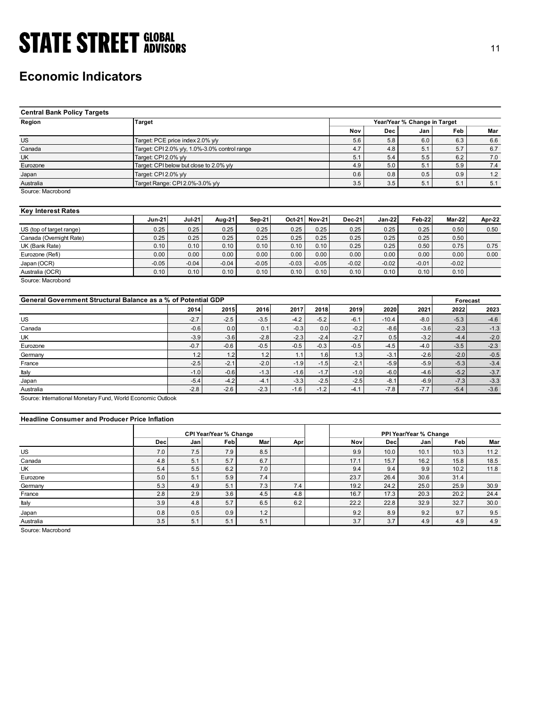### Economic Indicators

| <b>STATE STREET GLOBAL</b>                                    |                                                                 |               |                                               |         |               |         |            |            |                              |            | 11         |
|---------------------------------------------------------------|-----------------------------------------------------------------|---------------|-----------------------------------------------|---------|---------------|---------|------------|------------|------------------------------|------------|------------|
|                                                               |                                                                 |               |                                               |         |               |         |            |            |                              |            |            |
|                                                               |                                                                 |               |                                               |         |               |         |            |            |                              |            |            |
|                                                               |                                                                 |               |                                               |         |               |         |            |            |                              |            |            |
| <b>Economic Indicators</b>                                    |                                                                 |               |                                               |         |               |         |            |            |                              |            |            |
|                                                               |                                                                 |               |                                               |         |               |         |            |            |                              |            |            |
|                                                               |                                                                 |               |                                               |         |               |         |            |            |                              |            |            |
|                                                               |                                                                 |               |                                               |         |               |         |            |            |                              |            |            |
| <b>Central Bank Policy Targets</b>                            |                                                                 |               |                                               |         |               |         |            |            |                              |            |            |
| Region                                                        | <b>Target</b>                                                   |               |                                               |         |               |         |            |            | Year/Year % Change in Target |            |            |
|                                                               |                                                                 |               |                                               |         |               |         | Nov        | <b>Dec</b> | Jan                          | Feb        | Mar        |
| <b>US</b>                                                     |                                                                 |               |                                               |         |               |         |            |            |                              |            |            |
|                                                               | Target: PCE price index 2.0% y/y                                |               |                                               |         |               |         | 5.6        | 5.8        | 6.0                          | 6.3        | 6.6        |
| Canada<br>UK                                                  |                                                                 |               | Target: CPI 2.0% y/y, 1.0%-3.0% control range |         |               |         | 4.7        | 4.8<br>5.4 | 5.1                          | 5.7        | 6.7        |
| Eurozone                                                      | Target: CPI 2.0% y/y<br>Target: CPI below but close to 2.0% y/y |               |                                               |         |               |         | 5.1<br>4.9 | 5.0        | 5.5<br>5.1                   | 6.2<br>5.9 | 7.0<br>7.4 |
|                                                               |                                                                 |               |                                               |         |               |         |            |            |                              |            |            |
| Japan                                                         | Target: CPI 2.0% y/y                                            |               |                                               |         |               |         | 0.6        | 0.8        | 0.5                          | 0.9        | 1.2        |
| Australia                                                     | Target Range: CPI 2.0%-3.0% y/y                                 |               |                                               |         |               |         | 3.5        | 3.5        | 5.1                          | 5.1        | 5.1        |
| Source: Macrobond                                             |                                                                 |               |                                               |         |               |         |            |            |                              |            |            |
|                                                               |                                                                 |               |                                               |         |               |         |            |            |                              |            |            |
| <b>Key Interest Rates</b>                                     |                                                                 |               |                                               |         |               |         |            |            |                              |            |            |
|                                                               | <b>Jun-21</b>                                                   | <b>Jul-21</b> | Aug-21                                        | Sep-21  | Oct-21 Nov-21 |         | Dec-21     | Jan-22     | <b>Feb-22</b>                | Mar-22     | Apr-22     |
| US (top of target range)                                      | 0.25                                                            | 0.25          | 0.25                                          | 0.25    | 0.25          | 0.25    | 0.25       | 0.25       | 0.25                         | 0.50       | 0.50       |
| Canada (Overnight Rate)                                       | 0.25                                                            | 0.25          | 0.25                                          | 0.25    | 0.25          | 0.25    | 0.25       | 0.25       | 0.25                         | 0.50       |            |
| UK (Bank Rate)                                                | 0.10                                                            | 0.10          | 0.10                                          | 0.10    | 0.10          | 0.10    | 0.25       | 0.25       | 0.50                         | 0.75       | 0.75       |
| Eurozone (Refi)                                               | 0.00                                                            | 0.00          | 0.00                                          | 0.00    | 0.00          | 0.00    | 0.00       | 0.00       | 0.00                         | 0.00       | 0.00       |
| Japan (OCR)                                                   | $-0.05$                                                         | $-0.04$       | $-0.04$                                       | $-0.05$ | $-0.03$       | $-0.05$ | $-0.02$    | $-0.02$    | $-0.01$                      | $-0.02$    |            |
| Australia (OCR)                                               | 0.10                                                            | 0.10          | 0.10                                          | 0.10    | 0.10          | 0.10    | 0.10       | 0.10       | 0.10                         | 0.10       |            |
| Source: Macrobond                                             |                                                                 |               |                                               |         |               |         |            |            |                              |            |            |
|                                                               |                                                                 |               |                                               |         |               |         |            |            |                              |            |            |
| General Government Structural Balance as a % of Potential GDP |                                                                 |               |                                               |         |               |         |            |            |                              | Forecast   |            |
|                                                               |                                                                 | 2014          | 2015                                          | 2016    | 2017          | 2018    | 2019       | 2020       | 2021                         | 2022       | 2023       |
| $US$                                                          |                                                                 | $-2.7$        | $-2.5$                                        | $-3.5$  | $-4.2$        | $-5.2$  | $-6.1$     | $-10.4$    | $-8.0$                       | $-5.3$     | $-4.6$     |
| Canada                                                        |                                                                 | $-0.6$        | 0.0                                           | 0.1     | $-0.3$        | 0.0     | $-0.2$     | $-8.6$     | $-3.6$                       | $-2.3$     | $-1.3$     |
| UK                                                            |                                                                 | $-3.9$        | $-3.6$                                        | $-2.8$  | $-2.3$        | $-2.4$  | $-2.7$     | 0.5        | $-3.2$                       | $-4.4$     | $-2.0$     |
| Eurozone                                                      |                                                                 | $-0.7$        | $-0.6$                                        | $-0.5$  | $-0.5$        | $-0.3$  | $-0.5$     | $-4.5$     | $-4.0$                       | $-3.5$     | $-2.3$     |
| Germany                                                       |                                                                 | $1.2$         | 1.2                                           | $1.2$   | 1.1           | 1.6     | 1.3        | $-3.1$     | $-2.6$                       | $-2.0$     | $-0.5$     |
| France                                                        |                                                                 | $-2.5$        | $-2.1$                                        | $-2.0$  | $-1.9$        | $-1.5$  | $-2.1$     | $-5.9$     | $-5.9$                       | $-5.3$     | $-3.4$     |
| Italy                                                         |                                                                 | $-1.0$        | $-0.6$                                        | $-1.3$  | $-1.6$        | $-1.7$  | $-1.0$     | $-6.0$     | $-4.6$                       | $-5.2$     | $-3.7$     |
|                                                               |                                                                 |               |                                               |         |               |         |            |            |                              |            |            |

### Key Interest Rates

|                          | $Jun-21$ | <b>Jul-21</b> | Aug-21  | Sep-21  | $Oct-21$ | <b>Nov-21</b> | <b>Dec-21</b> | $Jan-22$ | Feb-22  | Mar-22  | Apr-22 |
|--------------------------|----------|---------------|---------|---------|----------|---------------|---------------|----------|---------|---------|--------|
| US (top of target range) | 0.25     | 0.25          | 0.25    | 0.25    | 0.25     | 0.25          | 0.25          | 0.25     | 0.25    | 0.50    | 0.50   |
| Canada (Overnight Rate)  | 0.25     | 0.25          | 0.25    | 0.25    | 0.25     | 0.25          | 0.25          | 0.25     | 0.25    | 0.50    |        |
| UK (Bank Rate)           | 0.10     | 0.10          | 0.10    | 0.10    | 0.10     | 0.10          | 0.25          | 0.25     | 0.50    | 0.75    | 0.75   |
| Eurozone (Refi)          | 0.00     | 0.00          | 0.00    | 0.00    | 0.00     | 0.00          | 0.00          | 0.00     | 0.00    | 0.00    | 0.00   |
| Japan (OCR)              | $-0.05$  | $-0.04$       | $-0.04$ | $-0.05$ | $-0.03$  | $-0.05$       | $-0.02$       | $-0.02$  | $-0.01$ | $-0.02$ |        |
| Australia (OCR)          | 0.10     | 0.10          | 0.10    | 0.10    | 0.10     | 0.10          | 0.10          | 0.10     | 0.10    | 0.10    |        |

| <b>Central Bank Policy Targets</b>                            |                      |                                               |                               |               |                      |                    |               |                              |          |         |
|---------------------------------------------------------------|----------------------|-----------------------------------------------|-------------------------------|---------------|----------------------|--------------------|---------------|------------------------------|----------|---------|
| Region                                                        | <b>Target</b>        |                                               |                               |               |                      |                    |               | Year/Year % Change in Target |          |         |
|                                                               |                      |                                               |                               |               |                      | Nov                | Dec           | Jan                          | Feb      | Mar     |
| <b>US</b>                                                     |                      | Target: PCE price index 2.0% y/y              |                               |               |                      | 5.6                | 5.8           | 6.0                          | 6.3      | 6.6     |
| Canada                                                        |                      | Target: CPI 2.0% y/y, 1.0%-3.0% control range |                               |               |                      | 4.7                | 4.8           | 5.1                          | 5.7      | 6.7     |
| <b>UK</b>                                                     | Target: CPI 2.0% y/y |                                               |                               |               |                      | 5.1                | 5.4           | 5.5                          | 6.2      | $7.0\,$ |
| Eurozone                                                      |                      | Target: CPI below but close to 2.0% y/y       |                               |               |                      | 4.9                | 5.0           | 5.1                          | 5.9      | 7.4     |
| Japan                                                         | Target: CPI 2.0% y/y |                                               |                               |               |                      | 0.6                | 0.8           | 0.5                          | 0.9      | 1.2     |
| Australia                                                     |                      | Target Range: CPI 2.0%-3.0% y/y               |                               |               |                      | 3.5                | 3.5           | 5.1                          | 5.1      | 5.1     |
| Source: Macrobond                                             |                      |                                               |                               |               |                      |                    |               |                              |          |         |
| <b>Key Interest Rates</b>                                     |                      |                                               |                               |               |                      |                    |               |                              |          |         |
|                                                               | <b>Jun-21</b>        | <b>Jul-21</b>                                 | Aug-21                        | <b>Sep-21</b> | $Nov-21$<br>$Oct-21$ | <b>Dec-21</b>      | <b>Jan-22</b> | Feb-22                       | Mar-22   | Apr-22  |
| US (top of target range)                                      | 0.25                 | 0.25                                          | 0.25                          | 0.25          | 0.25                 | 0.25<br>0.25       | 0.25          | 0.25                         | 0.50     | 0.50    |
| Canada (Overnight Rate)                                       | 0.25                 | 0.25                                          | 0.25                          | 0.25          | 0.25                 | 0.25<br>0.25       | 0.25          | 0.25                         | 0.50     |         |
| UK (Bank Rate)                                                | 0.10                 | 0.10                                          | 0.10                          | 0.10          | 0.10                 | 0.25<br>0.10       | 0.25          | 0.50                         | 0.75     | 0.75    |
| Eurozone (Refi)                                               | 0.00                 | 0.00                                          | 0.00                          | 0.00          | 0.00                 | 0.00<br>0.00       | 0.00          | 0.00                         | 0.00     | 0.00    |
| Japan (OCR)                                                   | $-0.05$              | $-0.04$                                       | $-0.04$                       | $-0.05$       | $-0.03$              | $-0.05$<br>$-0.02$ | $-0.02$       | $-0.01$                      | $-0.02$  |         |
| Australia (OCR)                                               | 0.10                 | 0.10                                          | 0.10                          | 0.10          | 0.10                 | 0.10<br>0.10       | 0.10          | 0.10                         | 0.10     |         |
| Source: Macrobond                                             |                      |                                               |                               |               |                      |                    |               |                              |          |         |
| General Government Structural Balance as a % of Potential GDP |                      |                                               |                               |               |                      |                    |               |                              | Forecast |         |
|                                                               |                      | 2014                                          | 2015                          | 2016          | 2017                 | 2019<br>2018       | 2020          | 2021                         | 2022     | 2023    |
| <b>US</b>                                                     |                      | $-2.7$                                        | $-2.5$                        | $-3.5$        | $-4.2$               | $-5.2$<br>$-6.1$   | $-10.4$       | $-8.0$                       | $-5.3$   | $-4.6$  |
| Canada                                                        |                      | $-0.6$                                        | 0.0                           | 0.1           | $-0.3$               | 0.0<br>$-0.2$      | $-8.6$        | $-3.6$                       | $-2.3$   | $-1.3$  |
| UK                                                            |                      | $-3.9$                                        | $-3.6$                        | $-2.8$        | $-2.3$               | $-2.4$<br>$-2.7$   | 0.5           | $-3.2$                       | $-4.4$   | $-2.0$  |
| Eurozone                                                      |                      | $-0.7$                                        | $-0.6$                        | $-0.5$        | $-0.5$               | $-0.3$<br>$-0.5$   | $-4.5$        | $-4.0$                       | $-3.5$   | $-2.3$  |
| Germany                                                       |                      | 1.2                                           | 1.2                           | 1.2           | 1.1                  | 1.3<br>1.6         | $-3.1$        | $-2.6$                       | $-2.0$   | $-0.5$  |
| France                                                        |                      | $-2.5$                                        | $-2.1$                        | $-2.0$        | $-1.9$               | $-1.5$<br>$-2.1$   | $-5.9$        | $-5.9$                       | $-5.3$   | $-3.4$  |
| Italy                                                         |                      | $-1.0$                                        | $-0.6$                        | $-1.3$        | $-1.6$               | $-1.7$<br>$-1.0$   | $-6.0$        | $-4.6$                       | $-5.2$   | $-3.7$  |
|                                                               |                      | $-5.4$                                        | $-4.2$                        | $-4.1$        | $-3.3$               | $-2.5$<br>$-2.5$   | $-8.1$        | $-6.9$                       | $-7.3$   | $-3.3$  |
| Japan<br>Australia                                            |                      | $-2.8$                                        | $-2.6$                        | $-2.3$        | $-1.6$               | $-1.2$<br>$-4.1$   | $-7.8$        | $-7.7$                       | $-5.4$   | $-3.6$  |
|                                                               |                      |                                               |                               |               |                      |                    |               |                              |          |         |
| Source: International Monetary Fund, World Economic Outlook   |                      |                                               |                               |               |                      |                    |               |                              |          |         |
| <b>Headline Consumer and Producer Price Inflation</b>         |                      |                                               |                               |               |                      |                    |               |                              |          |         |
|                                                               |                      |                                               | <b>CPI Year/Year % Change</b> |               |                      |                    |               | PPI Year/Year % Change       |          |         |
|                                                               | Dec                  | Jan                                           | Feb                           | Mar           | Apr                  | Nov                | Dec           | Jan                          | Feb      | Mar     |
| <b>US</b>                                                     | 7.0                  | 7.5                                           | 7.9                           | 8.5           |                      | 9.9                | 10.0          | 10.1                         | 10.3     | 11.2    |
| Canada                                                        | 4.8                  | 5.1                                           | 5.7                           | 6.7           |                      | 17.1               | 15.7          | 16.2                         | 15.8     | 18.5    |
| UK                                                            | 5.4                  | 5.5                                           | 6.2                           | 7.0           |                      | 9.4                | 9.4           | 9.9                          | 10.2     | 11.8    |
| Eurozone                                                      | 5.0                  | 5.1                                           | 5.9                           | 7.4           |                      | 23.7               | 26.4          | 30.6                         | 31.4     |         |
| Germany                                                       | 5.3                  | 4.9                                           | 5.1                           | 7.3           | 7.4                  | 19.2               | 24.2          | 25.0                         | 25.9     | 30.9    |
| France                                                        | 2.8                  | 2.9                                           | 3.6                           | 4.5           | 4.8                  | 16.7               | 17.3          | 20.3                         | 20.2     | 24.4    |
|                                                               | 3.9                  | 4.8                                           | 5.7                           | 6.5           | 6.2                  | 22.2               | 22.8          |                              | 32.7     | 30.0    |
| Italy                                                         |                      |                                               |                               |               |                      |                    |               | 32.9                         |          |         |
| Japan                                                         | 0.8                  | 0.5                                           | 0.9                           | 1.2           |                      | 9.2                | 8.9           | 9.2                          | 9.7      | 9.5     |

### Headline Consumer and Producer Price Inflation

| UK (Bank Rate)                                                                                 | 0.25       | 0.25       | 0.25                                 | 0.25       | 0.25    | 0.25    | 0.25        | 0.25        | 0.25                          | 0.50         |              |
|------------------------------------------------------------------------------------------------|------------|------------|--------------------------------------|------------|---------|---------|-------------|-------------|-------------------------------|--------------|--------------|
|                                                                                                | 0.10       | 0.10       | 0.10                                 | 0.10       | 0.10    | 0.10    | 0.25        | 0.25        | 0.50                          | 0.75         | 0.75         |
| Eurozone (Refi)                                                                                | 0.00       | 0.00       | 0.00                                 | 0.00       | 0.00    | 0.00    | 0.00        | 0.00        | 0.00                          | 0.00         | 0.00         |
| Japan (OCR)                                                                                    | $-0.05$    | $-0.04$    | $-0.04$                              | $-0.05$    | $-0.03$ | $-0.05$ | $-0.02$     | $-0.02$     | $-0.01$                       | $-0.02$      |              |
| Australia (OCR)                                                                                | 0.10       | 0.10       | 0.10                                 | 0.10       | 0.10    | 0.10    | 0.10        | 0.10        | 0.10                          | 0.10         |              |
| Source: Macrobond<br>General Government Structural Balance as a % of Potential GDP             |            |            |                                      |            |         |         |             |             |                               | Forecast     |              |
|                                                                                                |            | 2014       | 2015                                 | 2016       | 2017    | 2018    | 2019        | 2020        | 2021                          | 2022         | 2023         |
| US                                                                                             |            | $-2.7$     | $-2.5$                               | $-3.5$     | $-4.2$  | $-5.2$  | $-6.1$      | $-10.4$     | $-8.0$                        | $-5.3$       | $-4.6$       |
| Canada                                                                                         |            | $-0.6$     | 0.0                                  | 0.1        | $-0.3$  | 0.0     | $-0.2$      | $-8.6$      | $-3.6$                        | $-2.3$       | $-1.3$       |
| UK                                                                                             |            | $-3.9$     | $-3.6$                               | $-2.8$     | $-2.3$  | $-2.4$  | $-2.7$      | 0.5         | $-3.2$                        | $-4.4$       | $-2.0$       |
| Eurozone                                                                                       |            | $-0.7$     | $-0.6$                               | $-0.5$     | $-0.5$  | $-0.3$  | $-0.5$      | $-4.5$      | $-4.0$                        | $-3.5$       | $-2.3$       |
| Germany                                                                                        |            | 1.2        | 1.2                                  | 1.2        | 1.1     | 1.6     | 1.3         | $-3.1$      | $-2.6$                        | $-2.0$       | $-0.5$       |
| France                                                                                         |            | $-2.5$     | $-2.1$                               | $-2.0$     | $-1.9$  | $-1.5$  | $-2.1$      | $-5.9$      | $-5.9$                        | $-5.3$       | $-3.4$       |
|                                                                                                |            | $-1.0$     | $-0.6$                               | $-1.3$     | $-1.6$  | $-1.7$  | $-1.0$      | $-6.0$      | $-4.6$                        | $-5.2$       | $-3.7$       |
| Italy                                                                                          |            |            | $-4.2$                               | $-4.1$     | $-3.3$  | $-2.5$  | $-2.5$      | $-8.1$      | $-6.9$                        | $-7.3$       | $-3.3$       |
| Japan                                                                                          |            | $-5.4$     |                                      |            |         |         |             |             |                               |              |              |
|                                                                                                |            | $-2.8$     | $-2.6$                               | $-2.3$     | $-1.6$  | $-1.2$  | $-4.1$      | $-7.8$      | $-7.7$                        | $-5.4$       | $-3.6$       |
| <b>Headline Consumer and Producer Price Inflation</b>                                          |            |            |                                      |            |         |         |             |             |                               |              |              |
|                                                                                                | <b>Dec</b> | Jan        | <b>CPI Year/Year % Change</b><br>Feb | Mar        |         |         | Nov         | Dec         | PPI Year/Year % Change<br>Jan | Feb          | Mar          |
|                                                                                                | 7.0        |            |                                      |            | Apr     |         | 9.9         | 10.0        | 10.1                          | 10.3         | 11.2         |
|                                                                                                |            | 7.5        | 7.9                                  | 8.5        |         |         |             |             |                               |              |              |
| Australia<br>Source: International Monetary Fund, World Economic Outlook<br>US<br>Canada<br>UK | 4.8<br>5.4 | 5.1<br>5.5 | 5.7<br>6.2                           | 6.7<br>7.0 |         |         | 17.1<br>9.4 | 15.7<br>9.4 | 16.2<br>9.9                   | 15.8<br>10.2 | 18.5<br>11.8 |
| Eurozone                                                                                       | 5.0        | 5.1        | 5.9                                  | $7.4$      |         |         | 23.7        | 26.4        | 30.6                          | 31.4         |              |
| Germany                                                                                        | 5.3        | 4.9        | 5.1                                  | 7.3        | 7.4     |         | 19.2        | 24.2        | 25.0                          | 25.9         | 30.9         |
| France                                                                                         | 2.8        | 2.9        | 3.6                                  | 4.5        | 4.8     |         | 16.7        | 17.3        | 20.3                          | 20.2         | 24.4         |
| Italy                                                                                          | 3.9        | 4.8        | 5.7                                  | 6.5        | 6.2     |         | 22.2        | 22.8        | 32.9                          | 32.7         | 30.0         |
| Japan                                                                                          | 0.8        | 0.5        | 0.9                                  | 1.2        |         |         | 9.2         | 8.9         | 9.2                           | 9.7          | 9.5          |
| Australia                                                                                      | 3.5        | 5.1        | 5.1                                  | 5.1        |         |         | 3.7         | 3.7         | 4.9                           | 4.9          | 4.9          |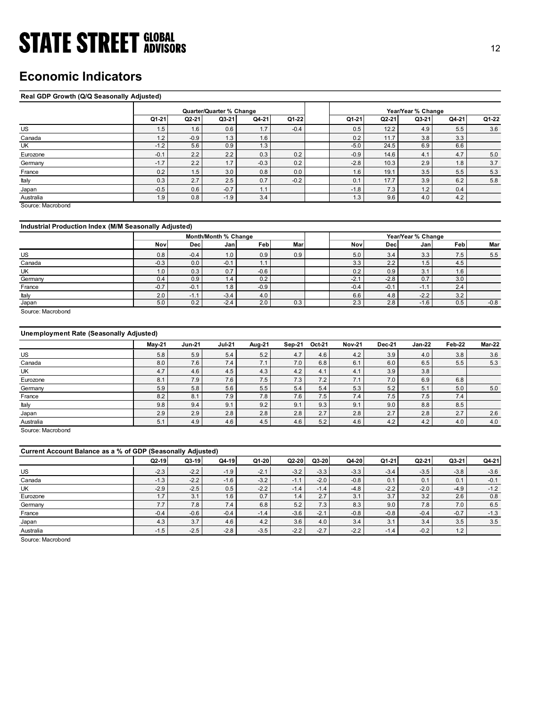### Economic Indicators

### Real GDP Growth (Q/Q Seasonally Adjusted)

| <b>STATE STREET GLOBAL</b>                            |                |               |                          |                |            |                          |                |                    |                | 12            |
|-------------------------------------------------------|----------------|---------------|--------------------------|----------------|------------|--------------------------|----------------|--------------------|----------------|---------------|
|                                                       |                |               |                          |                |            |                          |                |                    |                |               |
|                                                       |                |               |                          |                |            |                          |                |                    |                |               |
| <b>Economic Indicators</b>                            |                |               |                          |                |            |                          |                |                    |                |               |
|                                                       |                |               |                          |                |            |                          |                |                    |                |               |
|                                                       |                |               |                          |                |            |                          |                |                    |                |               |
| Real GDP Growth (Q/Q Seasonally Adjusted)             |                |               |                          |                |            |                          |                |                    |                |               |
|                                                       |                |               | Quarter/Quarter % Change |                |            |                          |                | Year/Year % Change |                |               |
|                                                       | Q1-21          | Q2-21         | Q3-21                    | Q4-21          | Q1-22      | Q1-21                    | $Q2-21$        | Q3-21              | Q4-21          | Q1-22         |
| US                                                    | 1.5            | 1.6           | 0.6                      | 1.7            | $-0.4$     | 0.5                      | 12.2           | 4.9                | 5.5            | 3.6           |
| Canada                                                | 1.2            | $-0.9$        | 1.3                      | 1.6            |            | 0.2                      | 11.7           | 3.8                | 3.3            |               |
| UK                                                    | $-1.2$         | 5.6           | 0.9                      | 1.3            |            | $-5.0$                   | 24.5           | 6.9                | 6.6            |               |
| Eurozone                                              | $-0.1$         | 2.2           | 2.2                      | 0.3            | 0.2        | $-0.9$                   | 14.6           | 4.1                | 4.7            | 5.0           |
| Germany                                               | $-1.7$         | 2.2           | 1.7                      | $-0.3$         | 0.2        | $-2.8$                   | 10.3           | 2.9                | 1.8            | $3.7\,$       |
| France                                                | 0.2            | 1.5           | 3.0                      | 0.8            | 0.0        | 1.6                      | 19.1           | 3.5                | 5.5            | $5.3\,$       |
| Italy                                                 | 0.3            | 2.7           | 2.5                      | 0.7            | $-0.2$     | 0.1                      | 17.7           | 3.9                | 6.2            | 5.8           |
| Japan                                                 | $-0.5$         | 0.6           | $-0.7$                   | 1.1            |            | $-1.8$                   | 7.3            | 1.2                | 0.4            |               |
| Australia                                             | 1.9            | 0.8           | $-1.9$                   | 3.4            |            | 1.3                      | 9.6            | 4.0                | 4.2            |               |
| Source: Macrobond                                     |                |               |                          |                |            |                          |                |                    |                |               |
|                                                       |                |               |                          |                |            |                          |                |                    |                |               |
| Industrial Production Index (M/M Seasonally Adjusted) |                |               |                          |                |            |                          |                |                    |                |               |
|                                                       |                |               | Month/Month % Change     |                |            |                          |                | Year/Year % Change |                |               |
|                                                       | Nov            | <b>Dec</b>    | Jan                      | Feb            | Mar        | Nov                      | <b>Dec</b>     | Jan                | Feb            | Mar           |
| US                                                    | 0.8            | $-0.4$        | 1.0                      | 0.9            | 0.9        | 5.0                      | 3.4            | 3.3                | 7.5            | 5.5           |
| Canada                                                | $-0.3$         | 0.0           | $-0.1$                   | 1.1            |            | 3.3                      | 2.2            | 1.5                | 4.5            |               |
| UK                                                    | 1.0            | 0.3           | 0.7                      | $-0.6$         |            | 0.2                      | 0.9            | 3.1                | 1.6            |               |
| Germany                                               | 0.4            | 0.9           | 1.4                      | 0.2            |            | $-2.1$                   | $-2.8$         | 0.7                | 3.0            |               |
|                                                       | $-0.7$         | $-0.1$        | 1.8                      | $-0.9$         |            | $-0.4$                   | $-0.1$         | $-1.1$             | 2.4            |               |
| France                                                | 2.0            | $-1.1$        | $-3.4$                   | 4.0            |            | $6.6\,$                  | 4.8            | $-2.2$             | 3.2            |               |
| Italy                                                 |                | 0.2           | $-2.4$                   | 2.0            | 0.3        | 2.3                      | 2.8            | $-1.6$             | 0.5            | $-0.8$        |
| Japan                                                 | 5.0            |               |                          |                |            |                          |                |                    |                |               |
| Source: Macrobond                                     |                |               |                          |                |            |                          |                |                    |                |               |
|                                                       |                |               |                          |                |            |                          |                |                    |                |               |
|                                                       |                |               |                          |                |            |                          |                |                    |                |               |
| <b>Unemployment Rate (Seasonally Adjusted)</b>        |                |               |                          |                |            |                          |                |                    |                |               |
|                                                       | <b>May-21</b>  | <b>Jun-21</b> | <b>Jul-21</b>            | <b>Aug-21</b>  | Sep-21     | Oct-21<br><b>Nov-21</b>  | Dec-21         | <b>Jan-22</b>      | Feb-22         | <b>Mar-22</b> |
| <b>US</b>                                             | 5.8            | 5.9           | $5.4$                    | 5.2            | $4.7\,$    | $4.2\,$<br>4.6           | 3.9            | 4.0                | 3.8            | $3.6\,$       |
| Canada                                                | 8.0            | 7.6           | 7.4                      | 7.1            | 7.0        | 6.8<br>6.1               | 6.0            | 6.5                | $5.5$          | 5.3           |
| <b>UK</b>                                             | 4.7            | 4.6           | 4.5                      | 4.3            | 4.2        | 4.1<br>4.1               | 3.9            | 3.8                |                |               |
| Eurozone                                              | 8.1            | 7.9           | 7.6                      | 7.5            | 7.3        | 7.1<br>7.2               | 7.0            | 6.9                | 6.8            |               |
| Germany                                               | $5.9\,$        | $5.8\,$       | $5.6\,$                  | 5.5            | $5.4\,$    | $5.3$<br>5.4             | $5.2\,$        | 5.1                | $5.0\,$        | 5.0           |
| France<br>Italy                                       | 8.2<br>$9.8\,$ | 8.1<br>9.4    | 7.9<br>9.1               | 7.8<br>$9.2\,$ | 7.6<br>9.1 | 7.4<br>7.5<br>9.3<br>9.1 | 7.5<br>$9.0\,$ | 7.5<br>8.8         | 7.4<br>$8.5\,$ |               |

### Industrial Production Index (M/M Seasonally Adjusted)

|         |        |            | Month/Month % Change |        |     |        |        | Year/Year % Change |     |        |
|---------|--------|------------|----------------------|--------|-----|--------|--------|--------------------|-----|--------|
|         | Nov    | <b>Dec</b> | Janl                 | Feb    | Mar | Nov    | Decl   | Janl               | Feb | Mar    |
| US      | 0.8    | $-0.4$     | 1.0                  | 0.9    | 0.9 | 5.0    | 3.4    | 3.3                | 7.5 | 5.5    |
| Canada  | $-0.3$ | 0.0        | $-0.1$               | 1.1    |     | 3.3    | 2.2    | 1.5                | 4.5 |        |
| UK      | 1.0    | 0.3        | 0.7                  | $-0.6$ |     | 0.2    | 0.9    | 3.1                | 1.6 |        |
| Germany | 0.4    | 0.9        | 1.4                  | 0.2    |     | $-2.1$ | $-2.8$ | 0.7                | 3.0 |        |
| France  | $-0.7$ | $-0.1$     | 1.8                  | $-0.9$ |     | $-0.4$ | $-0.1$ | $-1.$              | 2.4 |        |
| Italy   | 2.0    | $-1.$      | $-3.4$               | 4.0    |     | 6.6    | 4.8    | $-2.2$             | 3.2 |        |
| Japan   | 5.0    | 0.2        | $-2.4$               | 2.0    | 0.3 | 2.3    | 2.8    | $-1.6$             | 0.5 | $-0.8$ |

### Unemployment Rate (Seasonally Adjusted)

| US                                                          | 1.5    | 1.6           | 0.6                  | 1.7    | -0.4   |         | U.5           | 12.2          | 4.9                | 5.5    | 3.6     |
|-------------------------------------------------------------|--------|---------------|----------------------|--------|--------|---------|---------------|---------------|--------------------|--------|---------|
| Canada                                                      | 1.2    | $-0.9$        | 1.3                  | 1.6    |        |         | 0.2           | 11.7          | 3.8                | 3.3    |         |
| UK                                                          | $-1.2$ | 5.6           | 0.9                  | 1.3    |        |         | $-5.0$        | 24.5          | 6.9                | 6.6    |         |
| Eurozone                                                    | $-0.1$ | 2.2           | 2.2                  | 0.3    | 0.2    |         | $-0.9$        | 14.6          | 4.1                | 4.7    | 5.0     |
| Germany                                                     | $-1.7$ | 2.2           | 1.7                  | $-0.3$ | 0.2    |         | $-2.8$        | 10.3          | 2.9                | 1.8    | 3.7     |
| France                                                      | 0.2    | 1.5           | 3.0                  | 0.8    | 0.0    |         | 1.6           | 19.1          | 3.5                | 5.5    | $5.3$   |
| Italy                                                       | 0.3    | 2.7           | 2.5                  | 0.7    | $-0.2$ |         | 0.1           | 17.7          | 3.9                | 6.2    | 5.8     |
| Japan                                                       | $-0.5$ | 0.6           | $-0.7$               | 1.1    |        |         | $-1.8$        | 7.3           | 1.2                | 0.4    |         |
| Australia                                                   | 1.9    | 0.8           | $-1.9$               | 3.4    |        |         | 1.3           | 9.6           | 4.0                | 4.2    |         |
| Source: Macrobond                                           |        |               |                      |        |        |         |               |               |                    |        |         |
| Industrial Production Index (M/M Seasonally Adjusted)       |        |               |                      |        |        |         |               |               |                    |        |         |
|                                                             |        |               | Month/Month % Change |        |        |         |               |               | Year/Year % Change |        |         |
|                                                             | Nov    | Dec           |                      | Feb    | Mar    |         | Nov           | Dec           | Jan                | Feb    | Mar     |
|                                                             |        |               | Jan                  |        |        |         |               |               |                    |        |         |
| US                                                          | 0.8    | $-0.4$        | 1.0                  | 0.9    | 0.9    |         | 5.0           | 3.4           | 3.3                | 7.5    | 5.5     |
| Canada                                                      | $-0.3$ | 0.0           | $-0.1$               | 1.1    |        |         | 3.3           | 2.2           | 1.5                | 4.5    |         |
| UK                                                          | 1.0    | 0.3           | 0.7                  | $-0.6$ |        |         | 0.2           | 0.9           | 3.1                | 1.6    |         |
| Germany                                                     | 0.4    | 0.9           | 1.4                  | 0.2    |        |         | $-2.1$        | $-2.8$        | 0.7                | 3.0    |         |
| France                                                      | $-0.7$ | $-0.1$        | 1.8                  | $-0.9$ |        |         | $-0.4$        | $-0.1$        | $-1.1$             | 2.4    |         |
| Italy                                                       | 2.0    | $-1.1$        | $-3.4$               | 4.0    |        |         | 6.6           | 4.8           | $-2.2$             | 3.2    |         |
| Japan                                                       | 5.0    | 0.2           | $-2.4$               | 2.0    | 0.3    |         | 2.3           | 2.8           | $-1.6$             | 0.5    | $-0.8$  |
| <b>Unemployment Rate (Seasonally Adjusted)</b>              |        |               |                      |        |        |         |               |               |                    |        |         |
|                                                             | May-21 | <b>Jun-21</b> | <b>Jul-21</b>        | Aug-21 | Sep-21 | Oct-21  | <b>Nov-21</b> | <b>Dec-21</b> | <b>Jan-22</b>      | Feb-22 | Mar-22  |
| <b>US</b>                                                   | 5.8    | 5.9           | 5.4                  | 5.2    | 4.7    | 4.6     | 4.2           | 3.9           | 4.0                | 3.8    | 3.6     |
| Canada                                                      | 8.0    | 7.6           | 7.4                  | 7.1    | 7.0    | 6.8     | 6.1           | 6.0           | 6.5                | 5.5    | $5.3$   |
| UK                                                          | 4.7    | 4.6           | 4.5                  | 4.3    | 4.2    | 4.1     | 4.1           | 3.9           | 3.8                |        |         |
| Eurozone                                                    | 8.1    | 7.9           | 7.6                  | 7.5    | 7.3    | 7.2     | 7.1           | 7.0           | 6.9                | 6.8    |         |
| Germany                                                     | 5.9    | 5.8           | 5.6                  | 5.5    | 5.4    | 5.4     | 5.3           | 5.2           | 5.1                | 5.0    | 5.0     |
| France                                                      | 8.2    | 8.1           | 7.9                  | 7.8    | 7.6    | 7.5     | 7.4           | 7.5           | 7.5                | 7.4    |         |
| Italy                                                       | 9.8    | 9.4           | 9.1                  | 9.2    | 9.1    | 9.3     | 9.1           | 9.0           | 8.8                | 8.5    |         |
| Japan                                                       | 2.9    | 2.9           | 2.8                  | 2.8    | 2.8    | 2.7     | 2.8           | 2.7           | 2.8                | 2.7    | 2.6     |
| Australia                                                   | 5.1    | 4.9           | 4.6                  | 4.5    | 4.6    | 5.2     | 4.6           | 4.2           | 4.2                | 4.0    | 4.0     |
| Source: Macrobond                                           |        |               |                      |        |        |         |               |               |                    |        |         |
|                                                             |        |               |                      |        |        |         |               |               |                    |        |         |
| Current Account Balance as a % of GDP (Seasonally Adjusted) |        |               |                      |        |        |         |               |               |                    |        |         |
|                                                             | Q2-19  | Q3-19         | Q4-19                | Q1-20  | Q2-20  | $Q3-20$ | Q4-20         | $Q1-21$       | Q2-21              | Q3-21  | Q4-21   |
| US                                                          | $-2.3$ | $-2.2$        | $-1.9$               | $-2.1$ | $-3.2$ | $-3.3$  | $-3.3$        | $-3.4$        | $-3.5$             | $-3.8$ | $-3.6$  |
| Canada                                                      | $-1.3$ | $-2.2$        | $-1.6$               | $-3.2$ | $-1.1$ | $-2.0$  | $-0.8$        | 0.1           | 0.1                | 0.1    | $-0.1$  |
| UK                                                          | $-2.9$ | $-2.5$        | 0.5                  | $-2.2$ | $-1.4$ | $-1.4$  | $-4.8$        | $-2.2$        | $-2.0$             | $-4.9$ | $-1.2$  |
| Eurozone                                                    | 1.7    | 3.1           | 1.6                  | 0.7    | 1.4    | 2.7     | 3.1           | 3.7           | 3.2                | 2.6    | 0.8     |
| Germany                                                     | 7.7    | 7.8           | 7.4                  | 6.8    | 5.2    | 7.3     | 8.3           | 9.0           | 7.8                | 7.0    | 6.5     |
|                                                             | $-0.4$ | $-0.6$        | $-0.4$               | $-1.4$ | $-3.6$ | $-2.1$  | $-0.8$        | $-0.8$        | $-0.4$             | $-0.7$ | $-1.3$  |
| France                                                      |        |               |                      |        |        |         |               |               |                    |        |         |
| Japan                                                       | 4.3    | 3.7           | 4.6                  | 4.2    | 3.6    | $4.0\,$ | 3.4           | 3.1           | 3.4                | 3.5    | $3.5\,$ |

| US                                                                                                                                                | 0.8           | $-0.4$        | 1.0           | 0.9           | 0.9           |               | 5.0           | 3.4           | 3.3           | $7.5\,$          | 5.5           |
|---------------------------------------------------------------------------------------------------------------------------------------------------|---------------|---------------|---------------|---------------|---------------|---------------|---------------|---------------|---------------|------------------|---------------|
|                                                                                                                                                   |               |               |               |               |               |               |               |               |               |                  |               |
| Canada                                                                                                                                            | $-0.3$        | 0.0           | $-0.1$        | 1.1           |               |               | 3.3           | 2.2           | 1.5           | 4.5              |               |
| UK                                                                                                                                                | 1.0           | 0.3           | 0.7           | $-0.6$        |               |               | 0.2           | 0.9           | 3.1           | 1.6              |               |
| Germany                                                                                                                                           | 0.4           | 0.9           | 1.4           | 0.2           |               |               | $-2.1$        | $-2.8$        | 0.7           | 3.0              |               |
| France                                                                                                                                            | $-0.7$        | $-0.1$        | 1.8           | $-0.9$        |               |               | $-0.4$        | $-0.1$        | $-1.1$        | 2.4              |               |
| Italy                                                                                                                                             | 2.0           | $-1.1$        | $-3.4$        | 4.0           |               |               | 6.6           | 4.8           | $-2.2$        | 3.2              |               |
| Japan                                                                                                                                             | 5.0           | 0.2           | $-2.4$        | 2.0           | 0.3           |               | 2.3           | 2.8           | $-1.6$        | 0.5              | $-0.8$        |
| Source: Macrobond                                                                                                                                 |               |               |               |               |               |               |               |               |               |                  |               |
| <b>Unemployment Rate (Seasonally Adjusted)</b>                                                                                                    |               |               |               |               |               |               |               |               |               |                  |               |
|                                                                                                                                                   | $May-21$      | <b>Jun-21</b> | <b>Jul-21</b> | <b>Aug-21</b> | <b>Sep-21</b> | Oct-21        | <b>Nov-21</b> | <b>Dec-21</b> | $Jan-22$      | Feb-22           | <b>Mar-22</b> |
| US                                                                                                                                                | 5.8           | 5.9           | 5.4           | 5.2           | 4.7           | 4.6           | 4.2           | 3.9           | 4.0           | 3.8              | 3.6           |
| Canada                                                                                                                                            | 8.0           | 7.6           | 7.4           | 7.1           | $7.0\,$       | 6.8           | 6.1           | $6.0\,$       | 6.5           | 5.5              | 5.3           |
| UK                                                                                                                                                | 4.7           | 4.6           | 4.5           | $4.3\,$       | 4.2           | 4.1           | 4.1           | 3.9           | 3.8           |                  |               |
| Eurozone                                                                                                                                          | 8.1           | 7.9           | 7.6           | $7.5\,$       | 7.3           | 7.2           | 7.1           | 7.0           | 6.9           | 6.8              |               |
| Germany                                                                                                                                           | 5.9           | 5.8           | 5.6           | $5.5\,$       | 5.4           | 5.4           | 5.3           | $5.2\,$       | 5.1           | $5.0\,$          | $5.0\,$       |
|                                                                                                                                                   |               | 8.1           | 7.9           | 7.8           | 7.6           | 7.5           | 7.4           | 7.5           | 7.5           | 7.4              |               |
|                                                                                                                                                   |               |               |               |               |               |               |               |               |               |                  |               |
| France                                                                                                                                            | 8.2           |               |               |               |               |               |               |               |               |                  |               |
|                                                                                                                                                   | 9.8           | 9.4           | 9.1           | 9.2           | 9.1           | 9.3           | 9.1           | 9.0           | 8.8           | 8.5              |               |
|                                                                                                                                                   | 2.9<br>5.1    | 2.9<br>4.9    | 2.8<br>4.6    | 2.8<br>4.5    | 2.8<br>4.6    | 2.7<br>5.2    | 2.8<br>4.6    | 2.7<br>4.2    | 2.8<br>4.2    | 2.7<br>4.0       | 2.6<br>4.0    |
|                                                                                                                                                   |               |               |               |               |               |               |               |               |               |                  |               |
|                                                                                                                                                   |               |               |               |               |               |               |               |               |               |                  |               |
|                                                                                                                                                   | $Q2-19$       | $Q3-19$       | $Q4-19$       | $Q1-20$       | Q2-20         | $Q3-20$       | Q4-20         | Q1-21         | Q2-21         | Q3-21            | Q4-21         |
|                                                                                                                                                   | $-2.3$        | $-2.2$        | $-1.9$        | $-2.1$        | $-3.2$        | $-3.3$        | $-3.3$        | $-3.4$        | $-3.5$        | $-3.8$           | $-3.6$        |
|                                                                                                                                                   | $-1.3$        | $-2.2$        | $-1.6$        | $-3.2$        | $-1.1$        | $-2.0$        | $-0.8$        | 0.1           | 0.1           | 0.1              | $-0.1$        |
|                                                                                                                                                   | $-2.9$        | $-2.5$        | 0.5           | $-2.2$        | $-1.4$        | $-1.4$        | $-4.8$        | $-2.2$        | $-2.0$        | $-4.9$           | $-1.2$        |
| Italy<br>Japan<br>Australia<br>Source: Macrobond<br>Current Account Balance as a % of GDP (Seasonally Adjusted)<br>US<br>Canada<br>UK<br>Eurozone | 1.7           | 3.1           | 1.6           | 0.7           | 1.4           | 2.7           | 3.1           | 3.7           | 3.2           | $\overline{2.6}$ | 0.8           |
|                                                                                                                                                   | 7.7           | 7.8           | 7.4           | 6.8           | 5.2           | 7.3           | 8.3           | 9.0           | 7.8           | $7.0$            | 6.5           |
| Germany<br>France                                                                                                                                 | $-0.4$        | $-0.6$        | $-0.4$        | $-1.4$        | $-3.6$        | $-2.1$        | $-0.8$        | $-0.8$        | $-0.4$        | $-0.7$           | $-1.3$        |
| Japan<br>Australia                                                                                                                                | 4.3<br>$-1.5$ | 3.7<br>$-2.5$ | 4.6<br>$-2.8$ | 4.2<br>$-3.5$ | 3.6<br>$-2.2$ | 4.0<br>$-2.7$ | 3.4<br>$-2.2$ | 3.1<br>$-1.4$ | 3.4<br>$-0.2$ | 3.5<br>1.2       | 3.5           |